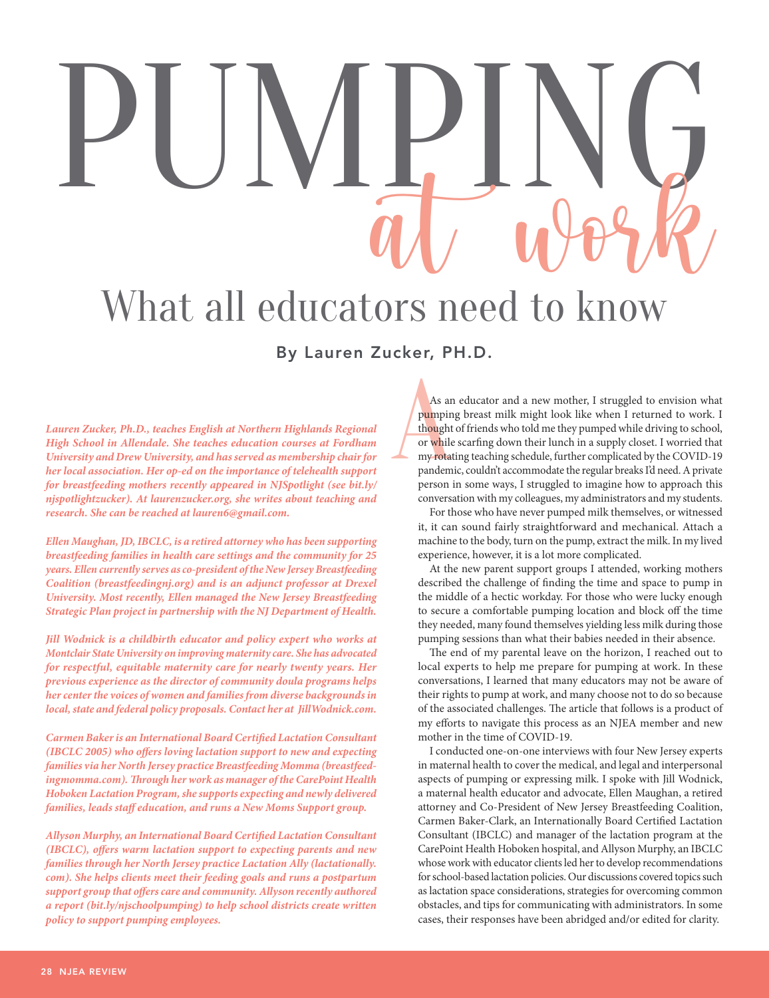# PUMPING What all educators need to know

**Lauren Zucker, Ph.D., teaches English at Northern Highlands Regional High School in Allendale. She teaches education courses at Fordham University and Drew University, and has served as membership chair for her local association. Her op-ed on the importance of telehealth support for breastfeeding mothers recently appeared in NJSpotlight (see bit.ly/ njspotlightzucker). At laurenzucker.org, she writes about teaching and research. She can be reached at lauren6@gmail.com.**

**Ellen Maughan, JD, IBCLC, is a retired attorney who has been supporting breastfeeding families in health care settings and the community for 25 years. Ellen currently serves as co-president of the New Jersey Breastfeeding Coalition (breastfeedingnj.org) and is an adjunct professor at Drexel University. Most recently, Ellen managed the New Jersey Breastfeeding Strategic Plan project in partnership with the NJ Department of Health.**

**Jill Wodnick is a childbirth educator and policy expert who works at Montclair State University on improving maternity care. She has advocated for respectful, equitable maternity care for nearly twenty years. Her previous experience as the director of community doula programs helps her center the voices of women and families from diverse backgrounds in local, state and federal policy proposals. Contact her at JillWodnick.com.**

**Carmen Baker is an International Board Certified Lactation Consultant (IBCLC 2005) who offers loving lactation support to new and expecting families via her North Jersey practice Breastfeeding Momma (breastfeedingmomma.com). Through her work as manager of the CarePoint Health Hoboken Lactation Program, she supports expecting and newly delivered families, leads staff education, and runs a New Moms Support group.**

**Allyson Murphy, an International Board Certified Lactation Consultant (IBCLC), offers warm lactation support to expecting parents and new families through her North Jersey practice Lactation Ally (lactationally. com). She helps clients meet their feeding goals and runs a postpartum support group that offers care and community. Allyson recently authored a report (bit.ly/njschoolpumping) to help school districts create written policy to support pumping employees.**

By Lauren Zucker, PH.D.<br>
As an educatery and the pumping breast reads are to the pumping breast reads of the scarfing membership chair for As an educator and a new mother, I struggled to envision what pumping breast milk might look like when I returned to work. I thought of friends who told me they pumped while driving to school, or while scarfing down their lunch in a supply closet. I worried that my rotating teaching schedule, further complicated by the COVID-19 pandemic, couldn't accommodate the regular breaks I'd need. A private person in some ways, I struggled to imagine how to approach this conversation with my colleagues, my administrators and my students.

For those who have never pumped milk themselves, or witnessed it, it can sound fairly straightforward and mechanical. Attach a machine to the body, turn on the pump, extract the milk. In my lived experience, however, it is a lot more complicated.

At the new parent support groups I attended, working mothers described the challenge of finding the time and space to pump in the middle of a hectic workday. For those who were lucky enough to secure a comfortable pumping location and block off the time they needed, many found themselves yielding less milk during those pumping sessions than what their babies needed in their absence.

The end of my parental leave on the horizon, I reached out to local experts to help me prepare for pumping at work. In these conversations, I learned that many educators may not be aware of their rights to pump at work, and many choose not to do so because of the associated challenges. The article that follows is a product of my efforts to navigate this process as an NJEA member and new mother in the time of COVID-19.

I conducted one-on-one interviews with four New Jersey experts in maternal health to cover the medical, and legal and interpersonal aspects of pumping or expressing milk. I spoke with Jill Wodnick, a maternal health educator and advocate, Ellen Maughan, a retired attorney and Co-President of New Jersey Breastfeeding Coalition, Carmen Baker-Clark, an Internationally Board Certified Lactation Consultant (IBCLC) and manager of the lactation program at the CarePoint Health Hoboken hospital, and Allyson Murphy, an IBCLC whose work with educator clients led her to develop recommendations for school-based lactation policies. Our discussions covered topics such as lactation space considerations, strategies for overcoming common obstacles, and tips for communicating with administrators. In some cases, their responses have been abridged and/or edited for clarity.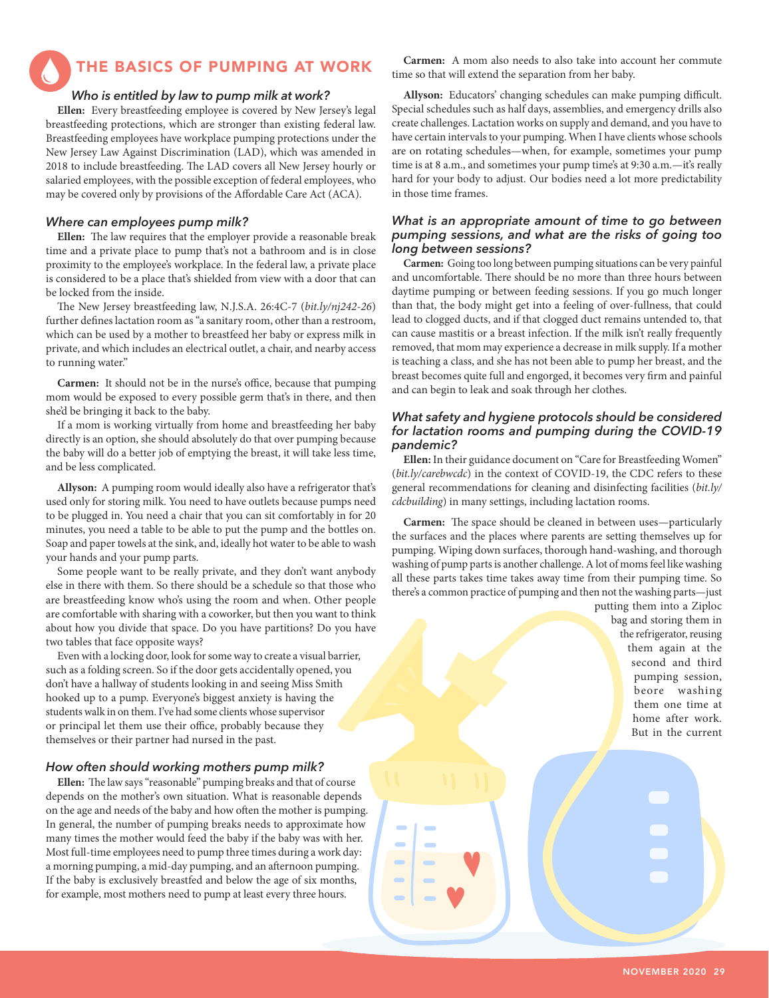THE BASICS OF PUMPING AT WORK

### *Who is entitled by law to pump milk at work?*

**Ellen:** Every breastfeeding employee is covered by New Jersey's legal breastfeeding protections, which are stronger than existing federal law. Breastfeeding employees have workplace pumping protections under the New Jersey Law Against Discrimination (LAD), which was amended in 2018 to include breastfeeding. The LAD covers all New Jersey hourly or salaried employees, with the possible exception of federal employees, who may be covered only by provisions of the Affordable Care Act (ACA).

### *Where can employees pump milk?*

**Ellen:** The law requires that the employer provide a reasonable break time and a private place to pump that's not a bathroom and is in close proximity to the employee's workplace. In the federal law, a private place is considered to be a place that's shielded from view with a door that can be locked from the inside.

The New Jersey breastfeeding law, N.J.S.A. 26:4C-7 (*bit.ly/nj242-26*) further defines lactation room as "a sanitary room, other than a restroom, which can be used by a mother to breastfeed her baby or express milk in private, and which includes an electrical outlet, a chair, and nearby access to running water."

**Carmen:** It should not be in the nurse's office, because that pumping mom would be exposed to every possible germ that's in there, and then she'd be bringing it back to the baby.

If a mom is working virtually from home and breastfeeding her baby directly is an option, she should absolutely do that over pumping because the baby will do a better job of emptying the breast, it will take less time, and be less complicated.

**Allyson:** A pumping room would ideally also have a refrigerator that's used only for storing milk. You need to have outlets because pumps need to be plugged in. You need a chair that you can sit comfortably in for 20 minutes, you need a table to be able to put the pump and the bottles on. Soap and paper towels at the sink, and, ideally hot water to be able to wash your hands and your pump parts.

Some people want to be really private, and they don't want anybody else in there with them. So there should be a schedule so that those who are breastfeeding know who's using the room and when. Other people are comfortable with sharing with a coworker, but then you want to think about how you divide that space. Do you have partitions? Do you have two tables that face opposite ways?

Even with a locking door, look for some way to create a visual barrier, such as a folding screen. So if the door gets accidentally opened, you don't have a hallway of students looking in and seeing Miss Smith hooked up to a pump. Everyone's biggest anxiety is having the students walk in on them. I've had some clients whose supervisor or principal let them use their office, probably because they themselves or their partner had nursed in the past.

### *How often should working mothers pump milk?*

**Ellen:** The law says "reasonable" pumping breaks and that of course depends on the mother's own situation. What is reasonable depends on the age and needs of the baby and how often the mother is pumping. In general, the number of pumping breaks needs to approximate how many times the mother would feed the baby if the baby was with her. Most full-time employees need to pump three times during a work day: a morning pumping, a mid-day pumping, and an afternoon pumping. If the baby is exclusively breastfed and below the age of six months, for example, most mothers need to pump at least every three hours.

**Carmen:** A mom also needs to also take into account her commute time so that will extend the separation from her baby.

**Allyson:** Educators' changing schedules can make pumping difficult. Special schedules such as half days, assemblies, and emergency drills also create challenges. Lactation works on supply and demand, and you have to have certain intervals to your pumping. When I have clients whose schools are on rotating schedules—when, for example, sometimes your pump time is at 8 a.m., and sometimes your pump time's at 9:30 a.m.-it's really hard for your body to adjust. Our bodies need a lot more predictability in those time frames.

### *What is an appropriate amount of time to go between pumping sessions, and what are the risks of going too long between sessions?*

**Carmen:** Going too long between pumping situations can be very painful and uncomfortable. There should be no more than three hours between daytime pumping or between feeding sessions. If you go much longer than that, the body might get into a feeling of over-fullness, that could lead to clogged ducts, and if that clogged duct remains untended to, that can cause mastitis or a breast infection. If the milk isn't really frequently removed, that mom may experience a decrease in milk supply. If a mother is teaching a class, and she has not been able to pump her breast, and the breast becomes quite full and engorged, it becomes very firm and painful and can begin to leak and soak through her clothes.

### *What safety and hygiene protocols should be considered for lactation rooms and pumping during the COVID-19 pandemic?*

**Ellen:** In their guidance document on "Care for Breastfeeding Women" (*bit.ly/carebwcdc*) in the context of COVID-19, the CDC refers to these general recommendations for cleaning and disinfecting facilities (*bit.ly/ cdcbuilding*) in many settings, including lactation rooms.

**Carmen:** The space should be cleaned in between uses—particularly the surfaces and the places where parents are setting themselves up for pumping. Wiping down surfaces, thorough hand-washing, and thorough washing of pump parts is another challenge. A lot of moms feel like washing all these parts takes time takes away time from their pumping time. So there's a common practice of pumping and then not the washing parts—just

> putting them into a Ziploc bag and storing them in the refrigerator, reusing them again at the second and third pumping session, beore washing them one time at home after work. But in the current

> > NOVEMBER 2020 29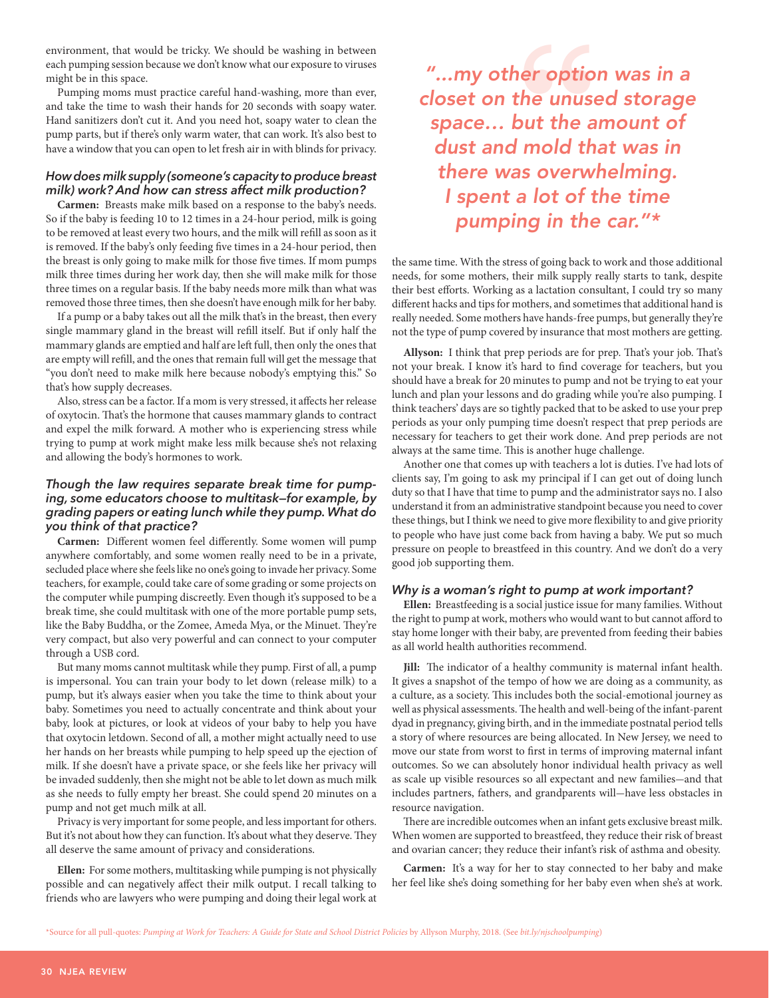environment, that would be tricky. We should be washing in between each pumping session because we don't know what our exposure to viruses might be in this space.

Pumping moms must practice careful hand-washing, more than ever, and take the time to wash their hands for 20 seconds with soapy water. Hand sanitizers don't cut it. And you need hot, soapy water to clean the pump parts, but if there's only warm water, that can work. It's also best to have a window that you can open to let fresh air in with blinds for privacy.

### *How does milk supply (someone's capacity to produce breast milk) work? And how can stress affect milk production?*

**Carmen:** Breasts make milk based on a response to the baby's needs. So if the baby is feeding 10 to 12 times in a 24-hour period, milk is going to be removed at least every two hours, and the milk will refill as soon as it is removed. If the baby's only feeding five times in a 24-hour period, then the breast is only going to make milk for those five times. If mom pumps milk three times during her work day, then she will make milk for those three times on a regular basis. If the baby needs more milk than what was removed those three times, then she doesn't have enough milk for her baby.

If a pump or a baby takes out all the milk that's in the breast, then every single mammary gland in the breast will refill itself. But if only half the mammary glands are emptied and half are left full, then only the ones that are empty will refill, and the ones that remain full will get the message that "you don't need to make milk here because nobody's emptying this." So that's how supply decreases.

Also, stress can be a factor. If a mom is very stressed, it affects her release of oxytocin. That's the hormone that causes mammary glands to contract and expel the milk forward. A mother who is experiencing stress while trying to pump at work might make less milk because she's not relaxing and allowing the body's hormones to work.

### *Though the law requires separate break time for pumping, some educators choose to multitask—for example, by grading papers or eating lunch while they pump. What do you think of that practice?*

**Carmen:** Different women feel differently. Some women will pump anywhere comfortably, and some women really need to be in a private, secluded place where she feels like no one's going to invade her privacy. Some teachers, for example, could take care of some grading or some projects on the computer while pumping discreetly. Even though it's supposed to be a break time, she could multitask with one of the more portable pump sets, like the Baby Buddha, or the Zomee, Ameda Mya, or the Minuet. They're very compact, but also very powerful and can connect to your computer through a USB cord.

But many moms cannot multitask while they pump. First of all, a pump is impersonal. You can train your body to let down (release milk) to a pump, but it's always easier when you take the time to think about your baby. Sometimes you need to actually concentrate and think about your baby, look at pictures, or look at videos of your baby to help you have that oxytocin letdown. Second of all, a mother might actually need to use her hands on her breasts while pumping to help speed up the ejection of milk. If she doesn't have a private space, or she feels like her privacy will be invaded suddenly, then she might not be able to let down as much milk as she needs to fully empty her breast. She could spend 20 minutes on a pump and not get much milk at all.

Privacy is very important for some people, and less important for others. But it's not about how they can function. It's about what they deserve. They all deserve the same amount of privacy and considerations.

possible and can negatively affect their milk output. I recall talking to friends who are lawyers who were pumping and doing their legal work at **Ellen:** For some mothers, multitasking while pumping is not physically

"...my other option was in a closet on the unused storage space… but the amount of dust and mold that was in there was overwhelming. I spent a lot of the time pumping in the car."\* **"**

the same time. With the stress of going back to work and those additional needs, for some mothers, their milk supply really starts to tank, despite their best efforts. Working as a lactation consultant, I could try so many different hacks and tips for mothers, and sometimes that additional hand is really needed. Some mothers have hands-free pumps, but generally they're not the type of pump covered by insurance that most mothers are getting.

**Allyson:** I think that prep periods are for prep. That's your job. That's not your break. I know it's hard to find coverage for teachers, but you should have a break for 20 minutes to pump and not be trying to eat your lunch and plan your lessons and do grading while you're also pumping. I think teachers' days are so tightly packed that to be asked to use your prep periods as your only pumping time doesn't respect that prep periods are necessary for teachers to get their work done. And prep periods are not always at the same time. This is another huge challenge.

Another one that comes up with teachers a lot is duties. I've had lots of clients say, I'm going to ask my principal if I can get out of doing lunch duty so that I have that time to pump and the administrator says no. I also understand it from an administrative standpoint because you need to cover these things, but I think we need to give more flexibility to and give priority to people who have just come back from having a baby. We put so much pressure on people to breastfeed in this country. And we don't do a very good job supporting them.

### *Why is a woman's right to pump at work important?*

**Ellen:** Breastfeeding is a social justice issue for many families. Without the right to pump at work, mothers who would want to but cannot afford to stay home longer with their baby, are prevented from feeding their babies as all world health authorities recommend.

**Jill:** The indicator of a healthy community is maternal infant health. It gives a snapshot of the tempo of how we are doing as a community, as a culture, as a society. This includes both the social-emotional journey as well as physical assessments. The health and well-being of the infant-parent dyad in pregnancy, giving birth, and in the immediate postnatal period tells a story of where resources are being allocated. In New Jersey, we need to move our state from worst to first in terms of improving maternal infant outcomes. So we can absolutely honor individual health privacy as well as scale up visible resources so all expectant and new families-and that includes partners, fathers, and grandparents will-have less obstacles in resource navigation.

There are incredible outcomes when an infant gets exclusive breast milk. When women are supported to breastfeed, they reduce their risk of breast and ovarian cancer; they reduce their infant's risk of asthma and obesity.

**Carmen:** It's a way for her to stay connected to her baby and make her feel like she's doing something for her baby even when she's at work.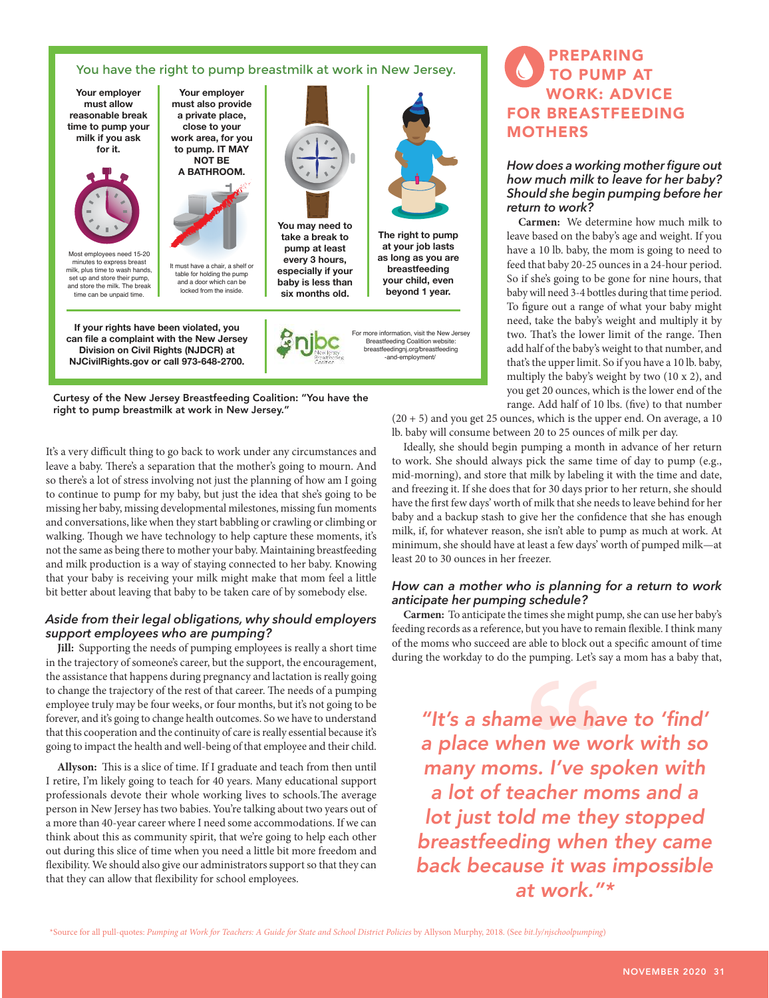### You have the right to pump breastmilk at work in New Jersey.



Curtesy of the New Jersey Breastfeeding Coalition: "You have the right to pump breastmilk at work in New Jersey."

It's a very difficult thing to go back to work under any circumstances and leave a baby. There's a separation that the mother's going to mourn. And so there's a lot of stress involving not just the planning of how am I going to continue to pump for my baby, but just the idea that she's going to be missing her baby, missing developmental milestones, missing fun moments and conversations, like when they start babbling or crawling or climbing or walking. Though we have technology to help capture these moments, it's not the same as being there to mother your baby. Maintaining breastfeeding and milk production is a way of staying connected to her baby. Knowing that your baby is receiving your milk might make that mom feel a little bit better about leaving that baby to be taken care of by somebody else.

### *Aside from their legal obligations, why should employers support employees who are pumping?*

**Jill:** Supporting the needs of pumping employees is really a short time in the trajectory of someone's career, but the support, the encouragement, the assistance that happens during pregnancy and lactation is really going to change the trajectory of the rest of that career. The needs of a pumping employee truly may be four weeks, or four months, but it's not going to be forever, and it's going to change health outcomes. So we have to understand that this cooperation and the continuity of care is really essential because it's going to impact the health and well-being of that employee and their child.

**Allyson:** This is a slice of time. If I graduate and teach from then until I retire, I'm likely going to teach for 40 years. Many educational support professionals devote their whole working lives to schools.The average person in New Jersey has two babies. You're talking about two years out of a more than 40-year career where I need some accommodations. If we can think about this as community spirit, that we're going to help each other out during this slice of time when you need a little bit more freedom and flexibility. We should also give our administrators support so that they can that they can allow that flexibility for school employees.

# PREPARING TO PUMP AT WORK: ADVICE FOR BREASTFEEDING MOTHERS

### *How does a working mother figure out how much milk to leave for her baby? Should she begin pumping before her return to work?*

**Carmen:** We determine how much milk to leave based on the baby's age and weight. If you have a 10 lb. baby, the mom is going to need to feed that baby 20-25 ounces in a 24-hour period. So if she's going to be gone for nine hours, that baby will need 3-4 bottles during that time period. To figure out a range of what your baby might need, take the baby's weight and multiply it by two. That's the lower limit of the range. Then add half of the baby's weight to that number, and that's the upper limit. So if you have a 10 lb. baby, multiply the baby's weight by two (10 x 2), and you get 20 ounces, which is the lower end of the range. Add half of 10 lbs. (five) to that number

 $(20 + 5)$  and you get 25 ounces, which is the upper end. On average, a 10 lb. baby will consume between 20 to 25 ounces of milk per day.

Ideally, she should begin pumping a month in advance of her return to work. She should always pick the same time of day to pump (e.g., mid-morning), and store that milk by labeling it with the time and date, and freezing it. If she does that for 30 days prior to her return, she should have the first few days' worth of milk that she needs to leave behind for her baby and a backup stash to give her the confidence that she has enough milk, if, for whatever reason, she isn't able to pump as much at work. At minimum, she should have at least a few days' worth of pumped milk—at least 20 to 30 ounces in her freezer.

### *How can a mother who is planning for a return to work anticipate her pumping schedule?*

**Carmen:** To anticipate the times she might pump, she can use her baby's feeding records as a reference, but you have to remain flexible. I think many of the moms who succeed are able to block out a specific amount of time during the workday to do the pumping. Let's say a mom has a baby that,

"It's a shame we have to 'find' a place when we work with so many moms. I've spoken with a lot of teacher moms and a lot just told me they stopped breastfeeding when they came back because it was impossible at work."\* **Example to block out**<br> **E** pumping. Let's set pumping. Let's<br> **Proces by the proces of the proces of the proces of the proces of the process of the process of the standard process of the standard process of the standard p** 

\*Source for all pull-quotes: *Pumping at Work for Teachers: A Guide for State and School District Policies* by Allyson Murphy, 2018. (See *bit.ly/njschoolpumping*)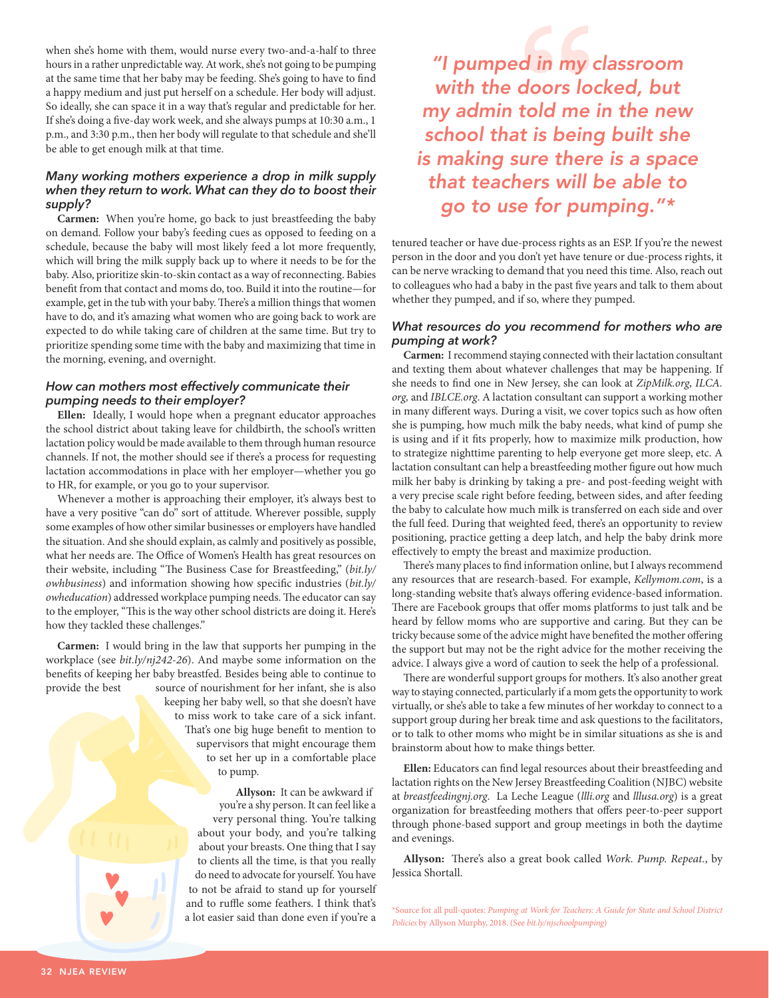when she's home with them, would nurse every two-and-a-half to three hours in a rather unpredictable way. At work, she's not going to be pumping at the same time that her baby may be feeding. She's going to have to find a happy medium and just put herself on a schedule. Her body will adjust. So ideally, she can space it in a way that's regular and predictable for her. If she's doing a five-day work week, and she always pumps at 10:30 a.m., 1 p.m., and 3:30 p.m., then her body will regulate to that schedule and she'll be able to get enough milk at that time.

### *Many working mothers experience a drop in milk supply when they return to work. What can they do to boost their supply?*

**Carmen:** When you're home, go back to just breastfeeding the baby on demand. Follow your baby's feeding cues as opposed to feeding on a schedule, because the baby will most likely feed a lot more frequently, which will bring the milk supply back up to where it needs to be for the baby. Also, prioritize skin-to-skin contact as a way of reconnecting. Babies benefit from that contact and moms do, too. Build it into the routine—for example, get in the tub with your baby. There's a million things that women have to do, and it's amazing what women who are going back to work are expected to do while taking care of children at the same time. But try to prioritize spending some time with the baby and maximizing that time in the morning, evening, and overnight.

### *How can mothers most effectively communicate their pumping needs to their employer?*

**Ellen:** Ideally, I would hope when a pregnant educator approaches the school district about taking leave for childbirth, the school's written lactation policy would be made available to them through human resource channels. If not, the mother should see if there's a process for requesting lactation accommodations in place with her employer—whether you go to HR, for example, or you go to your supervisor.

Whenever a mother is approaching their employer, it's always best to have a very positive "can do" sort of attitude. Wherever possible, supply some examples of how other similar businesses or employers have handled the situation. And she should explain, as calmly and positively as possible, what her needs are. The Office of Women's Health has great resources on their website, including "The Business Case for Breastfeeding," (*bit.ly/ owhbusiness*) and information showing how specific industries (*bit.ly/ owheducation*) addressed workplace pumping needs. The educator can say to the employer, "This is the way other school districts are doing it. Here's how they tackled these challenges."

**Carmen:** I would bring in the law that supports her pumping in the workplace (see *bit.ly/nj242-26*). And maybe some information on the benefits of keeping her baby breastfed. Besides being able to continue to provide the best source of nourishment for her infant, she is also

keeping her baby well, so that she doesn't have to miss work to take care of a sick infant. That's one big huge benefit to mention to supervisors that might encourage them to set her up in a comfortable place to pump.

**Allyson:** It can be awkward if you're a shy person. It can feel like a very personal thing. You're talking about your body, and you're talking about your breasts. One thing that I say to clients all the time, is that you really do need to advocate for yourself. You have to not be afraid to stand up for yourself and to ruffle some feathers. I think that's a lot easier said than done even if you're a

"I pumped in my classroom with the doors locked, but my admin told me in the new school that is being built she is making sure there is a space that teachers will be able to go to use for pumping."\* **d** in my doors look<br>told me

tenured teacher or have due-process rights as an ESP. If you're the newest person in the door and you don't yet have tenure or due-process rights, it can be nerve wracking to demand that you need this time. Also, reach out to colleagues who had a baby in the past five years and talk to them about whether they pumped, and if so, where they pumped.

### *What resources do you recommend for mothers who are pumping at work?*

**Carmen:** I recommend staying connected with their lactation consultant and texting them about whatever challenges that may be happening. If she needs to find one in New Jersey, she can look at *ZipMilk.org*, *ILCA. org,* and *IBLCE.org*. A lactation consultant can support a working mother in many different ways. During a visit, we cover topics such as how often she is pumping, how much milk the baby needs, what kind of pump she is using and if it fits properly, how to maximize milk production, how to strategize nighttime parenting to help everyone get more sleep, etc. A lactation consultant can help a breastfeeding mother figure out how much milk her baby is drinking by taking a pre- and post-feeding weight with a very precise scale right before feeding, between sides, and after feeding the baby to calculate how much milk is transferred on each side and over the full feed. During that weighted feed, there's an opportunity to review positioning, practice getting a deep latch, and help the baby drink more effectively to empty the breast and maximize production.

There's many places to find information online, but I always recommend any resources that are research-based. For example, *Kellymom.com*, is a long-standing website that's always offering evidence-based information. There are Facebook groups that offer moms platforms to just talk and be heard by fellow moms who are supportive and caring. But they can be tricky because some of the advice might have benefited the mother offering the support but may not be the right advice for the mother receiving the advice. I always give a word of caution to seek the help of a professional.

There are wonderful support groups for mothers. It's also another great way to staying connected, particularly if a mom gets the opportunity to work virtually, or she's able to take a few minutes of her workday to connect to a support group during her break time and ask questions to the facilitators, or to talk to other moms who might be in similar situations as she is and brainstorm about how to make things better.

**Ellen:** Educators can find legal resources about their breastfeeding and lactation rights on the New Jersey Breastfeeding Coalition (NJBC) website at *breastfeedingnj.org*. La Leche League (*llli.org* and *lllusa.org*) is a great organization for breastfeeding mothers that offers peer-to-peer support through phone-based support and group meetings in both the daytime and evenings.

**Allyson:** There's also a great book called *Work. Pump. Repeat.*, by Jessica Shortall.

\*Source for all pull-quotes: *Pumping at Work for Teachers: A Guide for State and School District Policies* by Allyson Murphy, 2018. (See *bit.ly/njschoolpumping*)